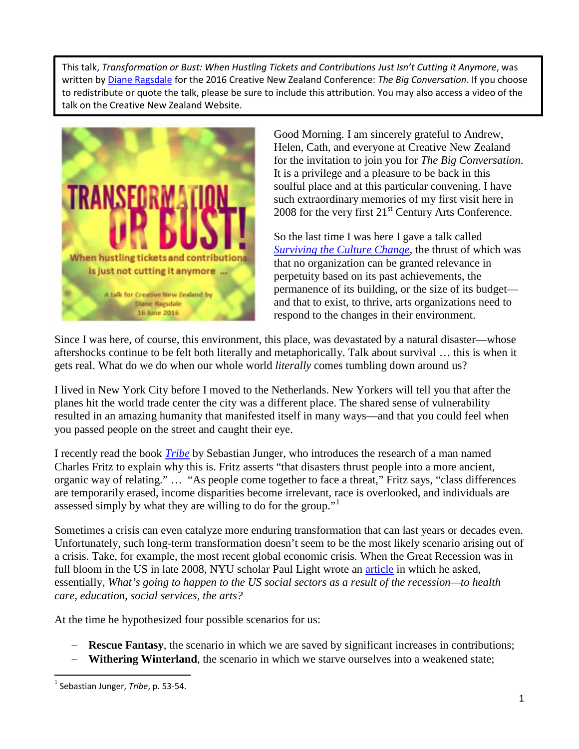This talk, *Transformation or Bust: When Hustling Tickets and Contributions Just Isn't Cutting it Anymore*, was written by [Diane Ragsdale](http://www.artsjournal.com/jumper/bio/) for the 2016 Creative New Zealand Conference: *The Big Conversation*. If you choose to redistribute or quote the talk, please be sure to include this attribution. You may also access a video of the talk on the Creative New Zealand Website.



Good Morning. I am sincerely grateful to Andrew, Helen, Cath, and everyone at Creative New Zealand for the invitation to join you for *The Big Conversation*. It is a privilege and a pleasure to be back in this soulful place and at this particular convening. I have such extraordinary memories of my first visit here in 2008 for the very first  $21<sup>st</sup>$  Century Arts Conference.

So the last time I was here I gave a talk called *[Surviving the Culture Change](http://www.artsjournal.com/jumper/wp-content/uploads/2010/09/Surviving-the-Culture-Change-Version-4.0-June-2010-Chicago3.pdf)*, the thrust of which was that no organization can be granted relevance in perpetuity based on its past achievements, the permanence of its building, or the size of its budget and that to exist, to thrive, arts organizations need to respond to the changes in their environment.

Since I was here, of course, this environment, this place, was devastated by a natural disaster—whose aftershocks continue to be felt both literally and metaphorically. Talk about survival … this is when it gets real. What do we do when our whole world *literally* comes tumbling down around us?

I lived in New York City before I moved to the Netherlands. New Yorkers will tell you that after the planes hit the world trade center the city was a different place. The shared sense of vulnerability resulted in an amazing humanity that manifested itself in many ways—and that you could feel when you passed people on the street and caught their eye.

I recently read the book *[Tribe](http://www.goodreads.com/book/show/28119237-tribe)* by Sebastian Junger, who introduces the research of a man named Charles Fritz to explain why this is. Fritz asserts "that disasters thrust people into a more ancient, organic way of relating." … "As people come together to face a threat," Fritz says, "class differences are temporarily erased, income disparities become irrelevant, race is overlooked, and individuals are assessed simply by what they are willing to do for the group."

Sometimes a crisis can even catalyze more enduring transformation that can last years or decades even. Unfortunately, such long-term transformation doesn't seem to be the most likely scenario arising out of a crisis. Take, for example, the most recent global economic crisis. When the Great Recession was in full bloom in the US in late 2008, NYU scholar Paul Light wrote an *article* in which he asked, essentially, *What's going to happen to the US social sectors as a result of the recession—to health care, education, social services, the arts?*

At the time he hypothesized four possible scenarios for us:

- − **Rescue Fantasy**, the scenario in which we are saved by significant increases in contributions;
- **Withering Winterland**, the scenario in which we starve ourselves into a weakened state;

<span id="page-0-0"></span> <sup>1</sup> Sebastian Junger, *Tribe*, p. 53-54.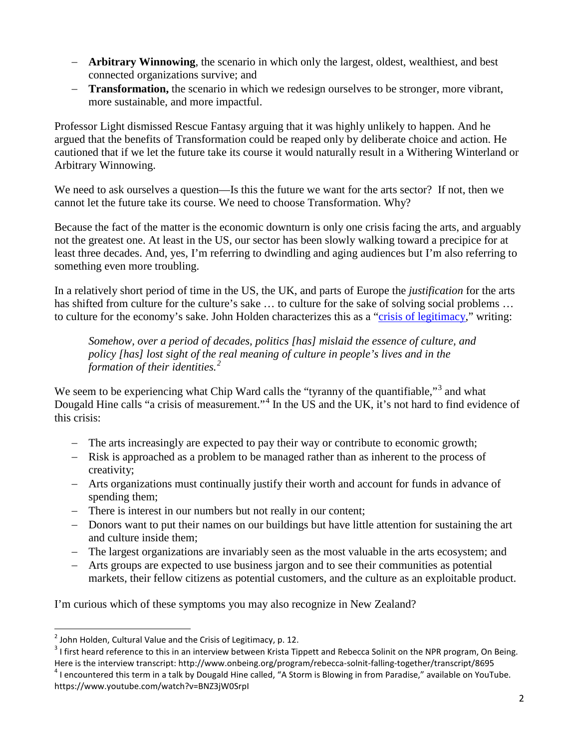- − **Arbitrary Winnowing**, the scenario in which only the largest, oldest, wealthiest, and best connected organizations survive; and
- − **Transformation,** the scenario in which we redesign ourselves to be stronger, more vibrant, more sustainable, and more impactful.

Professor Light dismissed Rescue Fantasy arguing that it was highly unlikely to happen. And he argued that the benefits of Transformation could be reaped only by deliberate choice and action. He cautioned that if we let the future take its course it would naturally result in a Withering Winterland or Arbitrary Winnowing.

We need to ask ourselves a question—Is this the future we want for the arts sector? If not, then we cannot let the future take its course. We need to choose Transformation. Why?

Because the fact of the matter is the economic downturn is only one crisis facing the arts, and arguably not the greatest one. At least in the US, our sector has been slowly walking toward a precipice for at least three decades. And, yes, I'm referring to dwindling and aging audiences but I'm also referring to something even more troubling.

In a relatively short period of time in the US, the UK, and parts of Europe the *justification* for the arts has shifted from culture for the culture's sake ... to culture for the sake of solving social problems ... to culture for the economy's sake. John Holden characterizes this as a ["crisis of legitimacy,](http://www.demos.co.uk/files/Culturalvalueweb.pdf)" writing:

*Somehow, over a period of decades, politics [has] mislaid the essence of culture, and policy [has] lost sight of the real meaning of culture in people's lives and in the formation of their identities.[2](#page-1-0)*

We seem to be experiencing what Chip Ward calls the "tyranny of the quantifiable,"<sup>[3](#page-1-1)</sup> and what Dougald Hine calls "a crisis of measurement."<sup>[4](#page-1-2)</sup> In the US and the UK, it's not hard to find evidence of this crisis:

- − The arts increasingly are expected to pay their way or contribute to economic growth;
- − Risk is approached as a problem to be managed rather than as inherent to the process of creativity;
- − Arts organizations must continually justify their worth and account for funds in advance of spending them;
- − There is interest in our numbers but not really in our content;
- − Donors want to put their names on our buildings but have little attention for sustaining the art and culture inside them;
- − The largest organizations are invariably seen as the most valuable in the arts ecosystem; and
- − Arts groups are expected to use business jargon and to see their communities as potential markets, their fellow citizens as potential customers, and the culture as an exploitable product.

I'm curious which of these symptoms you may also recognize in New Zealand?

<span id="page-1-0"></span> $<sup>2</sup>$  John Holden, Cultural Value and the Crisis of Legitimacy, p. 12.</sup>

<span id="page-1-1"></span><sup>&</sup>lt;sup>3</sup> I first heard reference to this in an interview between Krista Tippett and Rebecca Solinit on the NPR program, On Being. Here is the interview transcript: http://www.onbeing.org/program/rebecca-solnit-falling-together/transcript/8695<br><sup>4</sup> I encountered this term in a talk by Dougald Hine called, "A Storm is Blowing in from Paradise," availabl

<span id="page-1-2"></span>https://www.youtube.com/watch?v=BNZ3jW0SrpI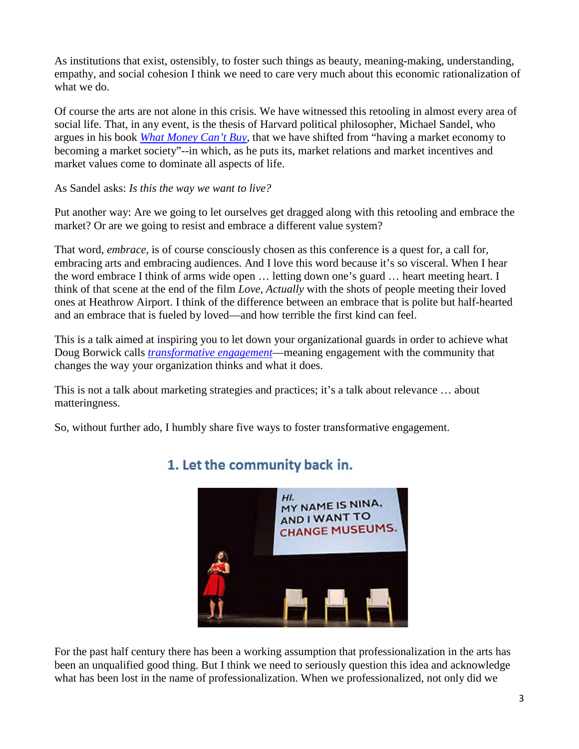As institutions that exist, ostensibly, to foster such things as beauty, meaning-making, understanding, empathy, and social cohesion I think we need to care very much about this economic rationalization of what we do.

Of course the arts are not alone in this crisis. We have witnessed this retooling in almost every area of social life. That, in any event, is the thesis of Harvard political philosopher, Michael Sandel, who argues in his book *[What Money Can't Buy](http://www.goodreads.com/book/show/13221379-what-money-can-t-buy)*, that we have shifted from "having a market economy to becoming a market society"--in which, as he puts its, market relations and market incentives and market values come to dominate all aspects of life.

As Sandel asks: *Is this the way we want to live?* 

Put another way: Are we going to let ourselves get dragged along with this retooling and embrace the market? Or are we going to resist and embrace a different value system?

That word, *embrace*, is of course consciously chosen as this conference is a quest for, a call for, embracing arts and embracing audiences. And I love this word because it's so visceral. When I hear the word embrace I think of arms wide open … letting down one's guard … heart meeting heart. I think of that scene at the end of the film *Love, Actually* with the shots of people meeting their loved ones at Heathrow Airport. I think of the difference between an embrace that is polite but half-hearted and an embrace that is fueled by loved—and how terrible the first kind can feel.

This is a talk aimed at inspiring you to let down your organizational guards in order to achieve what Doug Borwick calls *[transformative](http://www.artsjournal.com/engage/2015/12/transformative-engagement/) engagement*—meaning engagement with the community that changes the way your organization thinks and what it does.

This is not a talk about marketing strategies and practices; it's a talk about relevance … about matteringness.

So, without further ado, I humbly share five ways to foster transformative engagement.



### 1. Let the community back in.

For the past half century there has been a working assumption that professionalization in the arts has been an unqualified good thing. But I think we need to seriously question this idea and acknowledge what has been lost in the name of professionalization. When we professionalized, not only did we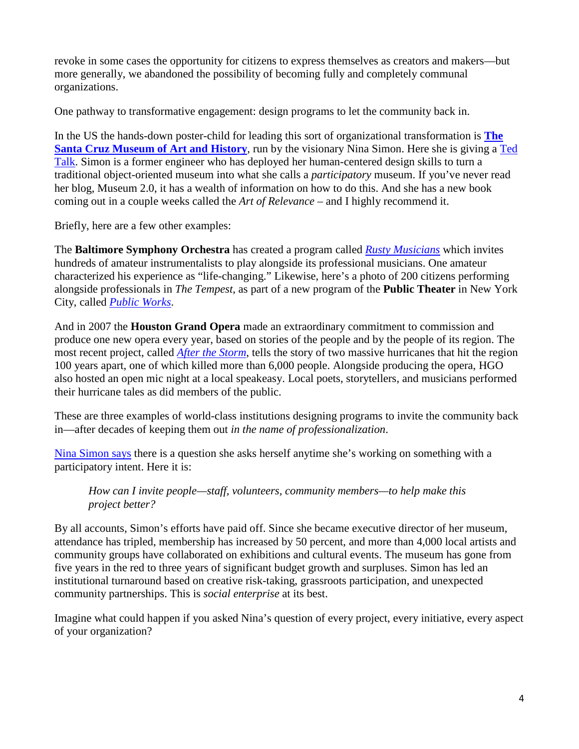revoke in some cases the opportunity for citizens to express themselves as creators and makers—but more generally, we abandoned the possibility of becoming fully and completely communal organizations.

One pathway to transformative engagement: design programs to let the community back in.

In the US the hands-down poster-child for leading this sort of organizational transformation is **[The](https://santacruzmah.org/)  [Santa Cruz Museum of Art and History](https://santacruzmah.org/)**, run by the visionary Nina Simon. Here she is giving a [Ted](http://museumtwo.blogspot.co.nz/2012/11/opening-up-museums-my-tedxsantacruz-talk.html)  [Talk.](http://museumtwo.blogspot.co.nz/2012/11/opening-up-museums-my-tedxsantacruz-talk.html) Simon is a former engineer who has deployed her human-centered design skills to turn a traditional object-oriented museum into what she calls a *participatory* museum. If you've never read her blog, Museum 2.0, it has a wealth of information on how to do this. And she has a new book coming out in a couple weeks called the *Art of Relevance* – and I highly recommend it.

Briefly, here are a few other examples:

The **Baltimore Symphony Orchestra** has created a program called *[Rusty Musicians](https://www.bsomusic.org/education-community/programs-for-adults/academy-programs/rusty-musicians.aspx)* which invites hundreds of amateur instrumentalists to play alongside its professional musicians. One amateur characterized his experience as "life-changing." Likewise, here's a photo of 200 citizens performing alongside professionals in *The Tempest*, as part of a new program of the **Public Theater** in New York City, called *[Public Works](https://issuu.com/publictheaterny/docs/public_works_book?e=12880904/8778109)*.

And in 2007 the **Houston Grand Opera** made an extraordinary commitment to commission and produce one new opera every year, based on stories of the people and by the people of its region. The most recent project, called *[After the Storm](http://www.houstongrandopera.org/community-programs/hgoco-event/after-the-storm/)*, tells the story of two massive hurricanes that hit the region 100 years apart, one of which killed more than 6,000 people. Alongside producing the opera, HGO also hosted an open mic night at a local speakeasy. Local poets, storytellers, and musicians performed their hurricane tales as did members of the public.

These are three examples of world-class institutions designing programs to invite the community back in—after decades of keeping them out *in the name of professionalization*.

[Nina Simon says](http://museumtwo.blogspot.co.nz/2016/02/one-simple-question-to-make-your-work.html) there is a question she asks herself anytime she's working on something with a participatory intent. Here it is:

*How can I invite people—staff, volunteers, community members—to help make this project better?*

By all accounts, Simon's efforts have paid off. Since she became executive director of her museum, attendance has tripled, membership has increased by 50 percent, and more than 4,000 local artists and community groups have collaborated on exhibitions and cultural events. The museum has gone from five years in the red to three years of significant budget growth and surpluses. Simon has led an institutional turnaround based on creative risk-taking, grassroots participation, and unexpected community partnerships. This is *social enterprise* at its best.

Imagine what could happen if you asked Nina's question of every project, every initiative, every aspect of your organization?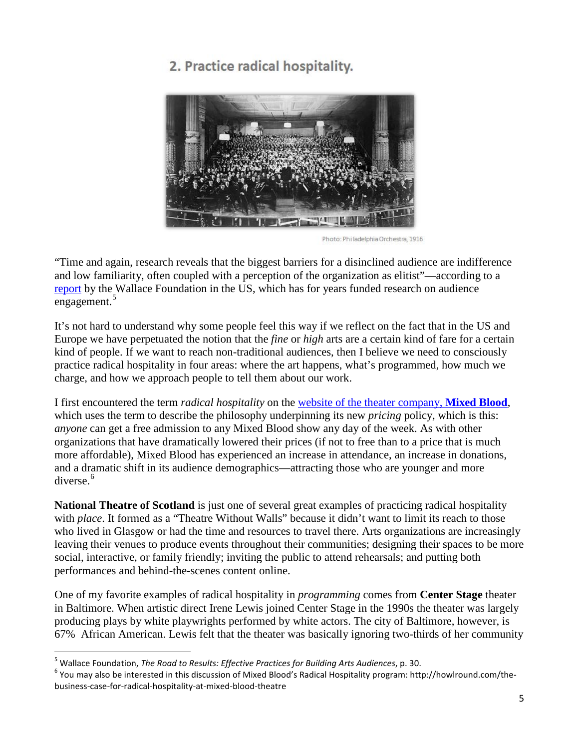## 2. Practice radical hospitality.



Photo: Philadelphia Orchestra, 1916

"Time and again, research reveals that the biggest barriers for a disinclined audience are indifference and low familiarity, often coupled with a perception of the organization as elitist"—according to a [report](http://www.wallacefoundation.org/knowledge-center/Documents/The-Road-to-Results-Effective-Practices-for-Building-Arts-Audiences.pdf) by the Wallace Foundation in the US, which has for years funded research on audience engagement.<sup>[5](#page-4-0)</sup>

It's not hard to understand why some people feel this way if we reflect on the fact that in the US and Europe we have perpetuated the notion that the *fine* or *high* arts are a certain kind of fare for a certain kind of people. If we want to reach non-traditional audiences, then I believe we need to consciously practice radical hospitality in four areas: where the art happens, what's programmed, how much we charge, and how we approach people to tell them about our work.

I first encountered the term *radical hospitality* on the [website of the theater company,](http://www.wallacefoundation.org/knowledge-center/Documents/The-Road-to-Results-Effective-Practices-for-Building-Arts-Audiences.pdf) **Mixed Blood**, which uses the term to describe the philosophy underpinning its new *pricing* policy, which is this: *anyone* can get a free admission to any Mixed Blood show any day of the week. As with other organizations that have dramatically lowered their prices (if not to free than to a price that is much more affordable), Mixed Blood has experienced an increase in attendance, an increase in donations, and a dramatic shift in its audience demographics—attracting those who are younger and more diverse. [6](#page-4-1)

**National Theatre of Scotland** is just one of several great examples of practicing radical hospitality with *place*. It formed as a "Theatre Without Walls" because it didn't want to limit its reach to those who lived in Glasgow or had the time and resources to travel there. Arts organizations are increasingly leaving their venues to produce events throughout their communities; designing their spaces to be more social, interactive, or family friendly; inviting the public to attend rehearsals; and putting both performances and behind-the-scenes content online.

One of my favorite examples of radical hospitality in *programming* comes from **Center Stage** theater in Baltimore. When artistic direct Irene Lewis joined Center Stage in the 1990s the theater was largely producing plays by white playwrights performed by white actors. The city of Baltimore, however, is 67% African American. Lewis felt that the theater was basically ignoring two-thirds of her community

<span id="page-4-1"></span>

<span id="page-4-0"></span><sup>&</sup>lt;sup>5</sup> Wallace Foundation, *The Road to Results: Effective Practices for Building Arts Audiences*, p. 30.<br><sup>6</sup> You may also be interested in this discussion of Mixed Blood's Radical Hospitality program: http://howlround.com/th business-case-for-radical-hospitality-at-mixed-blood-theatre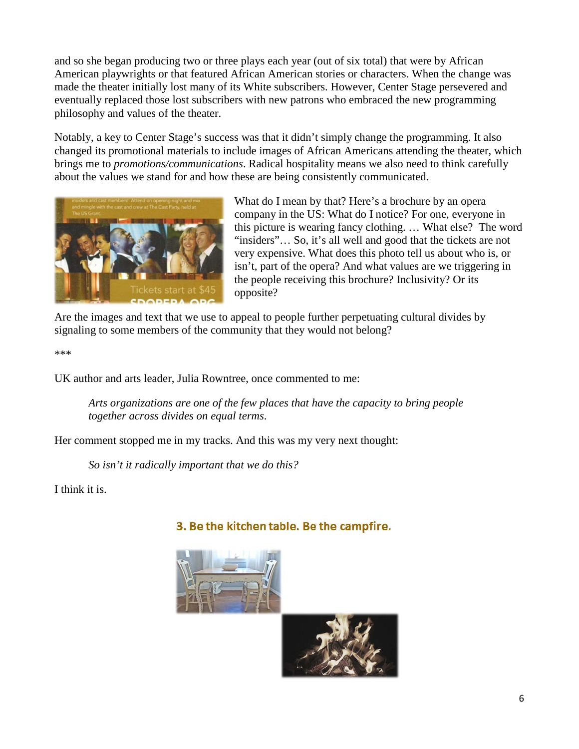and so she began producing two or three plays each year (out of six total) that were by African American playwrights or that featured African American stories or characters. When the change was made the theater initially lost many of its White subscribers. However, Center Stage persevered and eventually replaced those lost subscribers with new patrons who embraced the new programming philosophy and values of the theater.

Notably, a key to Center Stage's success was that it didn't simply change the programming. It also changed its promotional materials to include images of African Americans attending the theater, which brings me to *promotions/communications*. Radical hospitality means we also need to think carefully about the values we stand for and how these are being consistently communicated.



What do I mean by that? Here's a brochure by an opera company in the US: What do I notice? For one, everyone in this picture is wearing fancy clothing. … What else? The word "insiders"… So, it's all well and good that the tickets are not very expensive. What does this photo tell us about who is, or isn't, part of the opera? And what values are we triggering in the people receiving this brochure? Inclusivity? Or its opposite?

Are the images and text that we use to appeal to people further perpetuating cultural divides by signaling to some members of the community that they would not belong?

\*\*\*

UK author and arts leader, Julia Rowntree, once commented to me:

*Arts organizations are one of the few places that have the capacity to bring people together across divides on equal terms*.

Her comment stopped me in my tracks. And this was my very next thought:

*So isn't it radically important that we do this?*

I think it is.

#### 3. Be the kitchen table. Be the campfire.



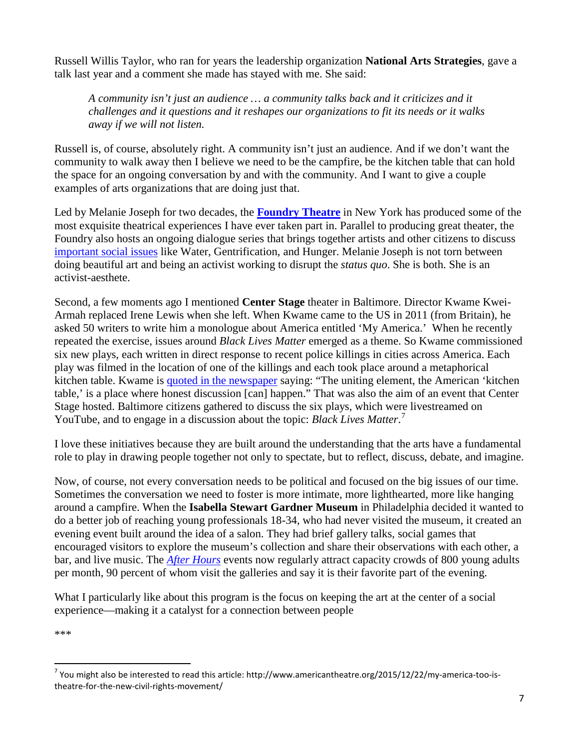Russell Willis Taylor, who ran for years the leadership organization **National Arts Strategies**, gave a talk last year and a comment she made has stayed with me. She said:

*A community isn't just an audience … a community talks back and it criticizes and it challenges and it questions and it reshapes our organizations to fit its needs or it walks away if we will not listen.*

Russell is, of course, absolutely right. A community isn't just an audience. And if we don't want the community to walk away then I believe we need to be the campfire, be the kitchen table that can hold the space for an ongoing conversation by and with the community. And I want to give a couple examples of arts organizations that are doing just that.

Led by Melanie Joseph for two decades, the **[Foundry Theatre](http://thefoundrytheatre.org/about/)** in New York has produced some of the most exquisite theatrical experiences I have ever taken part in. Parallel to producing great theater, the Foundry also hosts an ongoing dialogue series that brings together artists and other citizens to discuss [important social issues](http://thefoundrytheatre.org/work/foundry-dialogue/) like Water, Gentrification, and Hunger. Melanie Joseph is not torn between doing beautiful art and being an activist working to disrupt the *status quo*. She is both. She is an activist-aesthete.

Second, a few moments ago I mentioned **Center Stage** theater in Baltimore. Director Kwame Kwei-Armah replaced Irene Lewis when she left. When Kwame came to the US in 2011 (from Britain), he asked 50 writers to write him a monologue about America entitled 'My America.' When he recently repeated the exercise, issues around *Black Lives Matter* emerged as a theme. So Kwame commissioned six new plays, each written in direct response to recent police killings in cities across America. Each play was filmed in the location of one of the killings and each took place around a metaphorical kitchen table. Kwame is [quoted in the newspaper](http://baltimorestyle.com/17286/have-you-screened-my-america-too/) saying: "The uniting element, the American 'kitchen table,' is a place where honest discussion [can] happen." That was also the aim of an event that Center Stage hosted. Baltimore citizens gathered to discuss the six plays, which were livestreamed on YouTube, and to engage in a discussion about the topic: *Black Lives Matter*. [7](#page-6-0)

I love these initiatives because they are built around the understanding that the arts have a fundamental role to play in drawing people together not only to spectate, but to reflect, discuss, debate, and imagine.

Now, of course, not every conversation needs to be political and focused on the big issues of our time. Sometimes the conversation we need to foster is more intimate, more lighthearted, more like hanging around a campfire. When the **Isabella Stewart Gardner Museum** in Philadelphia decided it wanted to do a better job of reaching young professionals 18-34, who had never visited the museum, it created an evening event built around the idea of a salon. They had brief gallery talks, social games that encouraged visitors to explore the museum's collection and share their observations with each other, a bar, and live music. The *[After Hours](http://www.wallacefoundation.org/knowledge-center/Pages/Wallace-Studies-in-Building-Arts-Audiences-More-Than-Just-a-Party.aspx)* events now regularly attract capacity crowds of 800 young adults per month, 90 percent of whom visit the galleries and say it is their favorite part of the evening.

What I particularly like about this program is the focus on keeping the art at the center of a social experience—making it a catalyst for a connection between people

\*\*\*

<span id="page-6-0"></span> $<sup>7</sup>$  You might also be interested to read this article: http://www.americantheatre.org/2015/12/22/my-america-too-is-</sup> theatre-for-the-new-civil-rights-movement/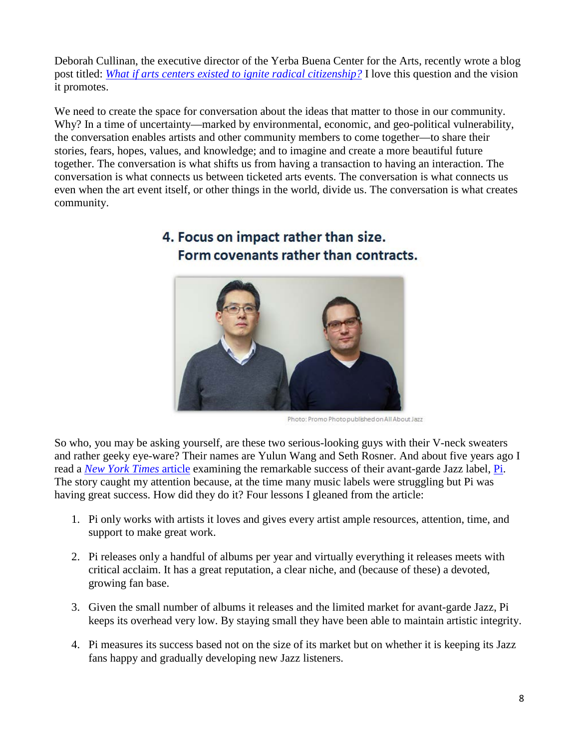Deborah Cullinan, the executive director of the Yerba Buena Center for the Arts, recently wrote a blog post titled: *[What if arts centers existed to ignite radical citizenship?](https://medium.com/@deborahcullinan/what-if-art-centers-existed-to-ignite-radical-citizenship-2e44f076ec1)* I love this question and the vision it promotes.

We need to create the space for conversation about the ideas that matter to those in our community. Why? In a time of uncertainty—marked by environmental, economic, and geo-political vulnerability, the conversation enables artists and other community members to come together—to share their stories, fears, hopes, values, and knowledge; and to imagine and create a more beautiful future together. The conversation is what shifts us from having a transaction to having an interaction. The conversation is what connects us between ticketed arts events. The conversation is what connects us even when the art event itself, or other things in the world, divide us. The conversation is what creates community.



## 4. Focus on impact rather than size. Form covenants rather than contracts.

Photo: Promo Photo published on All About Jazz

So who, you may be asking yourself, are these two serious-looking guys with their V-neck sweaters and rather geeky eye-ware? Their names are Yulun Wang and Seth Rosner. And about five years ago I read a *[New York Times](http://www.nytimes.com/2011/08/17/arts/music/pi-recordings-a-jazz-label-finds-a-way-to-thrive.html?_r=1)* [article](http://www.nytimes.com/2011/08/17/arts/music/pi-recordings-a-jazz-label-finds-a-way-to-thrive.html?_r=1) examining the remarkable success of their avant-garde Jazz label, [Pi.](http://pirecordings.com/) The story caught my attention because, at the time many music labels were struggling but Pi was having great success. How did they do it? Four lessons I gleaned from the article:

- 1. Pi only works with artists it loves and gives every artist ample resources, attention, time, and support to make great work.
- 2. Pi releases only a handful of albums per year and virtually everything it releases meets with critical acclaim. It has a great reputation, a clear niche, and (because of these) a devoted, growing fan base.
- 3. Given the small number of albums it releases and the limited market for avant-garde Jazz, Pi keeps its overhead very low. By staying small they have been able to maintain artistic integrity.
- 4. Pi measures its success based not on the size of its market but on whether it is keeping its Jazz fans happy and gradually developing new Jazz listeners.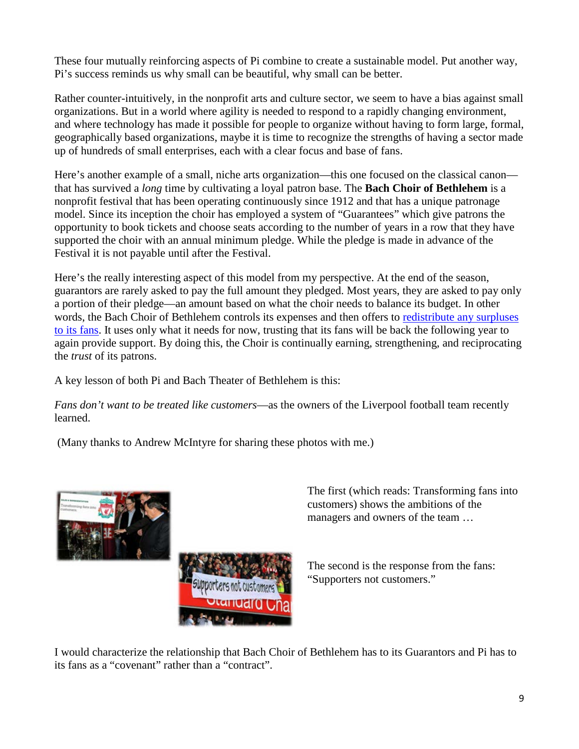These four mutually reinforcing aspects of Pi combine to create a sustainable model. Put another way, Pi's success reminds us why small can be beautiful, why small can be better.

Rather counter-intuitively, in the nonprofit arts and culture sector, we seem to have a bias against small organizations. But in a world where agility is needed to respond to a rapidly changing environment, and where technology has made it possible for people to organize without having to form large, formal, geographically based organizations, maybe it is time to recognize the strengths of having a sector made up of hundreds of small enterprises, each with a clear focus and base of fans.

Here's another example of a small, niche arts organization—this one focused on the classical canon that has survived a *long* time by cultivating a loyal patron base. The **Bach Choir of Bethlehem** is a nonprofit festival that has been operating continuously since 1912 and that has a unique patronage model. Since its inception the choir has employed a system of "Guarantees" which give patrons the opportunity to book tickets and choose seats according to the number of years in a row that they have supported the choir with an annual minimum pledge. While the pledge is made in advance of the Festival it is not payable until after the Festival.

Here's the really interesting aspect of this model from my perspective. At the end of the season, guarantors are rarely asked to pay the full amount they pledged. Most years, they are asked to pay only a portion of their pledge—an amount based on what the choir needs to balance its budget. In other words, the Bach Choir of Bethlehem controls its expenses and then offers to [redistribute any surpluses](http://www.artsjournal.com/jumper/2011/04/nonprofits-redistributing-surpluses-to-patrons/)  [to its fans.](http://www.artsjournal.com/jumper/2011/04/nonprofits-redistributing-surpluses-to-patrons/) It uses only what it needs for now, trusting that its fans will be back the following year to again provide support. By doing this, the Choir is continually earning, strengthening, and reciprocating the *trust* of its patrons.

A key lesson of both Pi and Bach Theater of Bethlehem is this:

*Fans don't want to be treated like customers*—as the owners of the Liverpool football team recently learned.

(Many thanks to Andrew McIntyre for sharing these photos with me.)





The first (which reads: Transforming fans into customers) shows the ambitions of the managers and owners of the team …

The second is the response from the fans: "Supporters not customers."

I would characterize the relationship that Bach Choir of Bethlehem has to its Guarantors and Pi has to its fans as a "covenant" rather than a "contract".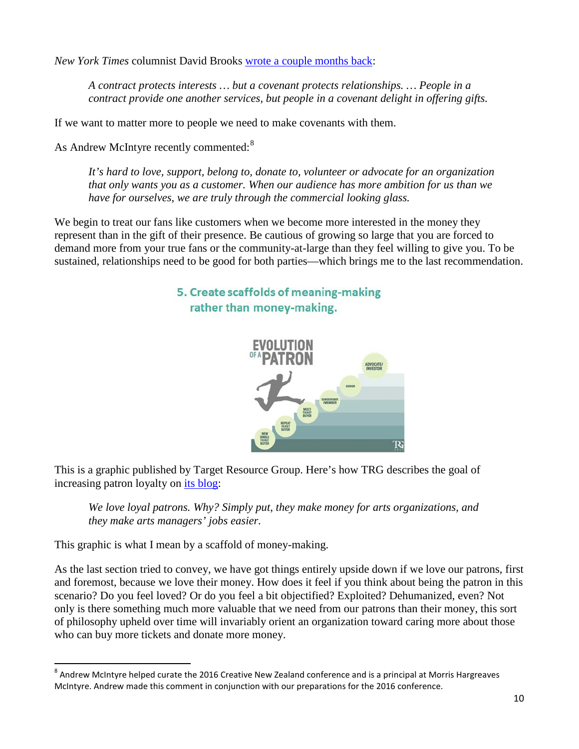*New York Times* columnist David Brooks [wrote a couple months back:](http://www.nytimes.com/2016/04/05/opinion/how-covenants-make-us.html?_r=0)

*A contract protects interests … but a covenant protects relationships. … People in a contract provide one another services, but people in a covenant delight in offering gifts.*

If we want to matter more to people we need to make covenants with them.

As Andrew McIntyre recently commented:<sup>[8](#page-9-0)</sup>

*It's hard to love, support, belong to, donate to, volunteer or advocate for an organization that only wants you as a customer. When our audience has more ambition for us than we have for ourselves, we are truly through the commercial looking glass.*

We begin to treat our fans like customers when we become more interested in the money they represent than in the gift of their presence. Be cautious of growing so large that you are forced to demand more from your true fans or the community-at-large than they feel willing to give you. To be sustained, relationships need to be good for both parties—which brings me to the last recommendation.

#### 5. Create scaffolds of meaning-making rather than money-making.



This is a graphic published by Target Resource Group. Here's how TRG describes the goal of increasing patron loyalty on [its blog:](http://www.trgarts.com/Blog/BlogPost/tabid/136/ArticleId/38/3-Principles-for-Increasing-Patron-Loyalty.aspx)

*We love loyal patrons. Why? Simply put, they make money for arts organizations, and they make arts managers' jobs easier.*

This graphic is what I mean by a scaffold of money-making.

As the last section tried to convey, we have got things entirely upside down if we love our patrons, first and foremost, because we love their money. How does it feel if you think about being the patron in this scenario? Do you feel loved? Or do you feel a bit objectified? Exploited? Dehumanized, even? Not only is there something much more valuable that we need from our patrons than their money, this sort of philosophy upheld over time will invariably orient an organization toward caring more about those who can buy more tickets and donate more money.

<span id="page-9-0"></span> $8$  Andrew McIntyre helped curate the 2016 Creative New Zealand conference and is a principal at Morris Hargreaves McIntyre. Andrew made this comment in conjunction with our preparations for the 2016 conference.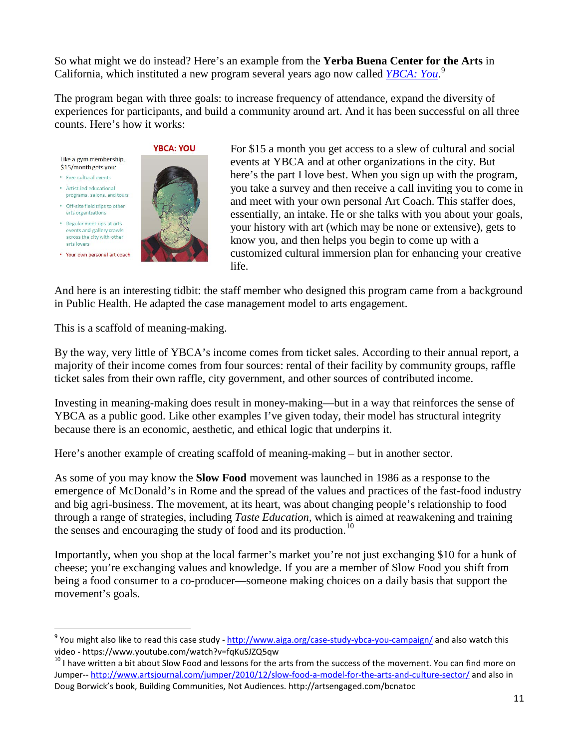So what might we do instead? Here's an example from the **Yerba Buena Center for the Arts** in California, which instituted a new program several years ago now called *[YBCA: You](http://www.sfexaminer.com/ybca-to-help-art-lovers-share-passion/)*. [9](#page-10-0)

The program began with three goals: to increase frequency of attendance, expand the diversity of experiences for participants, and build a community around art. And it has been successful on all three counts. Here's how it works:

Like a gym membership. \$15/month gets you:

- · Free cultural events
- Artist-led educational programs, salons, and tours
- . Off-site field trips to other arts organizations
- · Regular meet-ups at arts events and gallery crawls across the city with other arts lovers
- Your own personal art coach



For \$15 a month you get access to a slew of cultural and social events at YBCA and at other organizations in the city. But here's the part I love best. When you sign up with the program, you take a survey and then receive a call inviting you to come in and meet with your own personal Art Coach. This staffer does, essentially, an intake. He or she talks with you about your goals, your history with art (which may be none or extensive), gets to know you, and then helps you begin to come up with a customized cultural immersion plan for enhancing your creative life.

And here is an interesting tidbit: the staff member who designed this program came from a background in Public Health. He adapted the case management model to arts engagement.

This is a scaffold of meaning-making.

By the way, very little of YBCA's income comes from ticket sales. According to their annual report, a majority of their income comes from four sources: rental of their facility by community groups, raffle ticket sales from their own raffle, city government, and other sources of contributed income.

Investing in meaning-making does result in money-making—but in a way that reinforces the sense of YBCA as a public good. Like other examples I've given today, their model has structural integrity because there is an economic, aesthetic, and ethical logic that underpins it.

Here's another example of creating scaffold of meaning-making – but in another sector.

As some of you may know the **Slow Food** movement was launched in 1986 as a response to the emergence of McDonald's in Rome and the spread of the values and practices of the fast-food industry and big agri-business. The movement, at its heart, was about changing people's relationship to food through a range of strategies, including *Taste Education*, which is aimed at reawakening and training the senses and encouraging the study of food and its production.<sup>[10](#page-10-1)</sup>

Importantly, when you shop at the local farmer's market you're not just exchanging \$10 for a hunk of cheese; you're exchanging values and knowledge. If you are a member of Slow Food you shift from being a food consumer to a co-producer—someone making choices on a daily basis that support the movement's goals.

<span id="page-10-0"></span><sup>&</sup>lt;sup>9</sup> You might also like to read this case study - <http://www.aiga.org/case-study-ybca-you-campaign/> and also watch this

<span id="page-10-1"></span>video - https://www.youtube.com/watch?v=fqKuSJZQ5qw<br><sup>10</sup> I have written a bit about Slow Food and lessons for the arts from the success of the movement. You can find more on Jumper-- <http://www.artsjournal.com/jumper/2010/12/slow-food-a-model-for-the-arts-and-culture-sector/> and also in Doug Borwick's book, Building Communities, Not Audiences. http://artsengaged.com/bcnatoc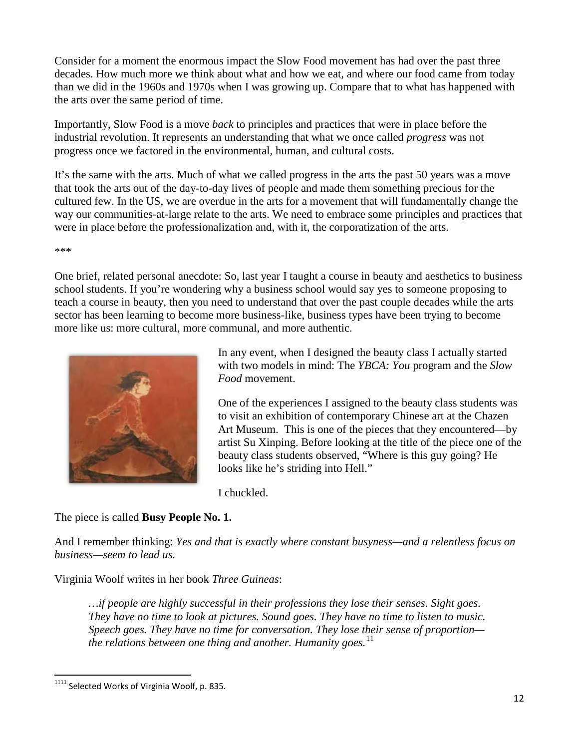Consider for a moment the enormous impact the Slow Food movement has had over the past three decades. How much more we think about what and how we eat, and where our food came from today than we did in the 1960s and 1970s when I was growing up. Compare that to what has happened with the arts over the same period of time.

Importantly, Slow Food is a move *back* to principles and practices that were in place before the industrial revolution. It represents an understanding that what we once called *progress* was not progress once we factored in the environmental, human, and cultural costs.

It's the same with the arts. Much of what we called progress in the arts the past 50 years was a move that took the arts out of the day-to-day lives of people and made them something precious for the cultured few. In the US, we are overdue in the arts for a movement that will fundamentally change the way our communities-at-large relate to the arts. We need to embrace some principles and practices that were in place before the professionalization and, with it, the corporatization of the arts.

\*\*\*

One brief, related personal anecdote: So, last year I taught a course in beauty and aesthetics to business school students. If you're wondering why a business school would say yes to someone proposing to teach a course in beauty, then you need to understand that over the past couple decades while the arts sector has been learning to become more business-like, business types have been trying to become more like us: more cultural, more communal, and more authentic.



In any event, when I designed the beauty class I actually started with two models in mind: The *YBCA: You* program and the *Slow Food* movement.

One of the experiences I assigned to the beauty class students was to visit an exhibition of contemporary Chinese art at the Chazen Art Museum. This is one of the pieces that they encountered—by artist Su Xinping. Before looking at the title of the piece one of the beauty class students observed, "Where is this guy going? He looks like he's striding into Hell."

I chuckled.

The piece is called **Busy People No. 1.**

And I remember thinking: *Yes and that is exactly where constant busyness—and a relentless focus on business—seem to lead us.*

Virginia Woolf writes in her book *Three Guineas*:

*…if people are highly successful in their professions they lose their senses. Sight goes. They have no time to look at pictures. Sound goes. They have no time to listen to music. Speech goes. They have no time for conversation. They lose their sense of proportion the relations between one thing and another. Humanity goes.* [11](#page-11-0)

<span id="page-11-0"></span><sup>&</sup>lt;sup>1111</sup> Selected Works of Virginia Woolf, p. 835.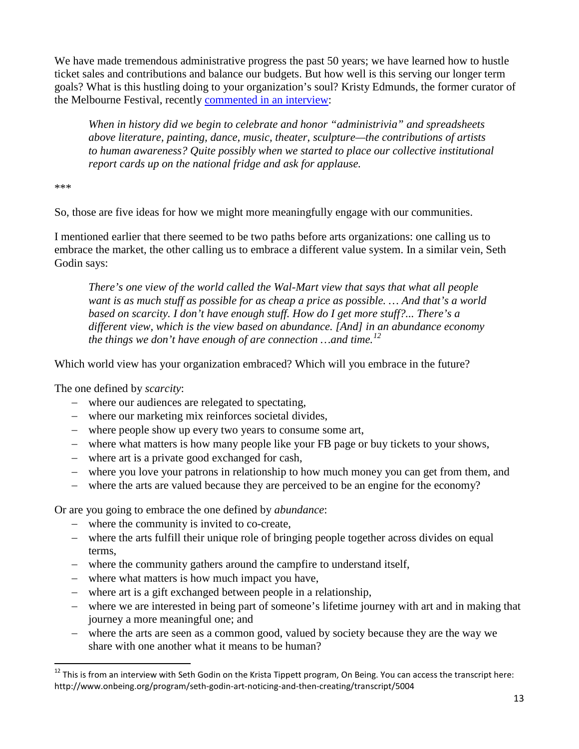We have made tremendous administrative progress the past 50 years; we have learned how to hustle ticket sales and contributions and balance our budgets. But how well is this serving our longer term goals? What is this hustling doing to your organization's soul? Kristy Edmunds, the former curator of the Melbourne Festival, recently [commented in an interview:](http://www.pcah.us/posts/81_our_dreams_motivate_our_realities_a_conversation_with_center_visiting_scholar_kristy_edmunds)

*When in history did we begin to celebrate and honor "administrivia" and spreadsheets above literature, painting, dance, music, theater, sculpture—the contributions of artists to human awareness? Quite possibly when we started to place our collective institutional report cards up on the national fridge and ask for applause.*

\*\*\*

So, those are five ideas for how we might more meaningfully engage with our communities.

I mentioned earlier that there seemed to be two paths before arts organizations: one calling us to embrace the market, the other calling us to embrace a different value system. In a similar vein, Seth Godin says:

*There's one view of the world called the Wal-Mart view that says that what all people want is as much stuff as possible for as cheap a price as possible. … And that's a world based on scarcity. I don't have enough stuff. How do I get more stuff?... There's a different view, which is the view based on abundance. [And] in an abundance economy the things we don't have enough of are connection …and time.[12](#page-12-0)*

Which world view has your organization embraced? Which will you embrace in the future?

The one defined by *scarcity*:

- − where our audiences are relegated to spectating,
- − where our marketing mix reinforces societal divides,
- − where people show up every two years to consume some art,
- − where what matters is how many people like your FB page or buy tickets to your shows,
- − where art is a private good exchanged for cash,
- − where you love your patrons in relationship to how much money you can get from them, and
- − where the arts are valued because they are perceived to be an engine for the economy?

Or are you going to embrace the one defined by *abundance*:

- − where the community is invited to co-create,
- − where the arts fulfill their unique role of bringing people together across divides on equal terms,
- − where the community gathers around the campfire to understand itself,
- − where what matters is how much impact you have,
- − where art is a gift exchanged between people in a relationship,
- − where we are interested in being part of someone's lifetime journey with art and in making that journey a more meaningful one; and
- − where the arts are seen as a common good, valued by society because they are the way we share with one another what it means to be human?

<span id="page-12-0"></span> $12$  This is from an interview with Seth Godin on the Krista Tippett program, On Being. You can access the transcript here: http://www.onbeing.org/program/seth-godin-art-noticing-and-then-creating/transcript/5004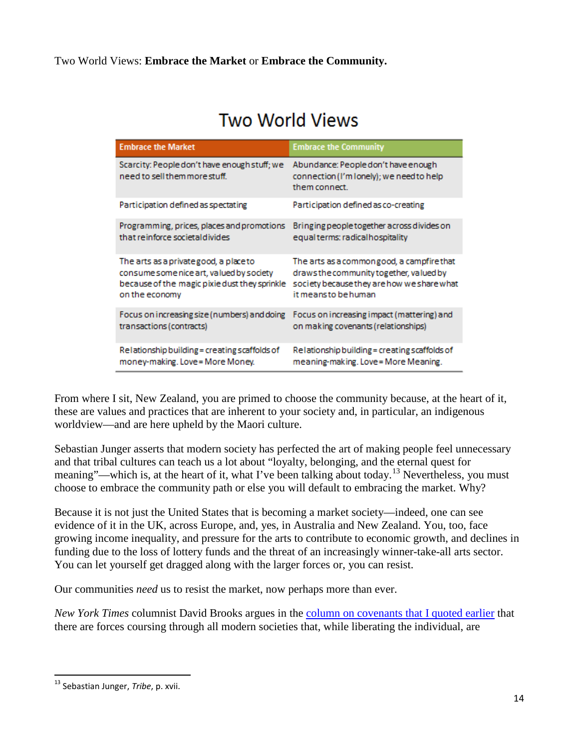# Two World Views

| <b>Embrace the Market</b>                                                     | <b>Embrace the Community</b>                                                                     |
|-------------------------------------------------------------------------------|--------------------------------------------------------------------------------------------------|
| Scarcity: People don't have enough stuff; we<br>need to sell them more stuff. | Abundance: People don't have enough<br>connection (I'm lonely); we need to help<br>them connect. |
| Participation defined as spectating                                           | Participation defined as co-creating                                                             |
| Programming, prices, places and promotions                                    | Bringing people together across divides on                                                       |
| that reinforce societaldivides                                                | equal terms: radical hospitality                                                                 |
| The arts as a private good, a place to                                        | The arts as a commongood, a campfire that                                                        |
| consume some nice art, valued by society                                      | draws the community together, valued by                                                          |
| because of the magic pixie dust they sprinkle                                 | society because they are how we share what                                                       |
| on the economy                                                                | it meansto behuman.                                                                              |
| Focus on increasing size (numbers) and doing                                  | Focus on increasing impact (mattering) and                                                       |
| transactions (contracts)                                                      | on making covenants (relationships)                                                              |
| Relationship building = creating scaffolds of                                 | Relationship building = creating scaffolds of                                                    |
| money-making. Love = More Money.                                              | meaning-making. Love = More Meaning.                                                             |

From where I sit, New Zealand, you are primed to choose the community because, at the heart of it, these are values and practices that are inherent to your society and, in particular, an indigenous worldview—and are here upheld by the Maori culture.

Sebastian Junger asserts that modern society has perfected the art of making people feel unnecessary and that tribal cultures can teach us a lot about "loyalty, belonging, and the eternal quest for meaning"—which is, at the heart of it, what I've been talking about today.<sup>[13](#page-13-0)</sup> Nevertheless, you must choose to embrace the community path or else you will default to embracing the market. Why?

Because it is not just the United States that is becoming a market society—indeed, one can see evidence of it in the UK, across Europe, and, yes, in Australia and New Zealand. You, too, face growing income inequality, and pressure for the arts to contribute to economic growth, and declines in funding due to the loss of lottery funds and the threat of an increasingly winner-take-all arts sector. You can let yourself get dragged along with the larger forces or, you can resist.

Our communities *need* us to resist the market, now perhaps more than ever.

*New York Times* columnist David Brooks argues in the [column on covenants that I quoted earlier](http://www.nytimes.com/2016/04/05/opinion/how-covenants-make-us.html?_r=0) that there are forces coursing through all modern societies that, while liberating the individual, are

<span id="page-13-0"></span> <sup>13</sup> Sebastian Junger, *Tribe*, p. xvii.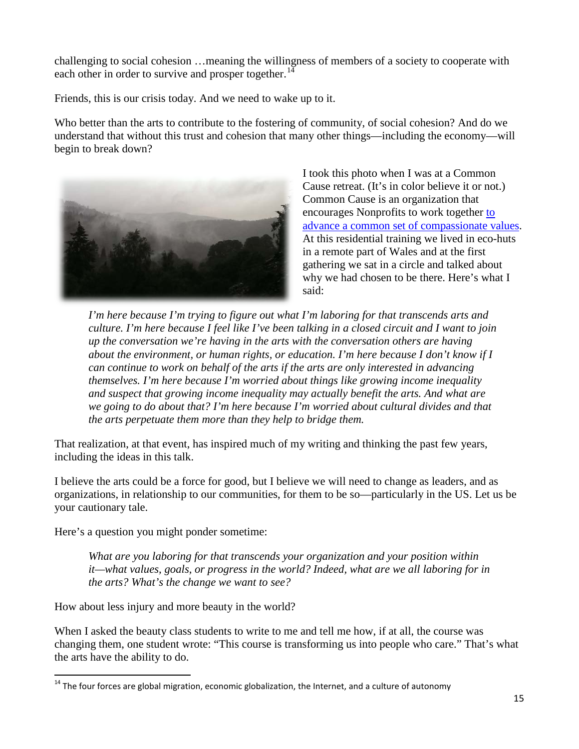challenging to social cohesion …meaning the willingness of members of a society to cooperate with each other in order to survive and prosper together.<sup>[14](#page-14-0)</sup>

Friends, this is our crisis today. And we need to wake up to it.

Who better than the arts to contribute to the fostering of community, of social cohesion? And do we understand that without this trust and cohesion that many other things—including the economy—will begin to break down?



I took this photo when I was at a Common Cause retreat. (It's in color believe it or not.) Common Cause is an organization that encourages Nonprofits to work together [to](http://valuesandframes.org/)  [advance a common set of compassionate values.](http://valuesandframes.org/) At this residential training we lived in eco-huts in a remote part of Wales and at the first gathering we sat in a circle and talked about why we had chosen to be there. Here's what I said:

*I'm here because I'm trying to figure out what I'm laboring for that transcends arts and culture. I'm here because I feel like I've been talking in a closed circuit and I want to join up the conversation we're having in the arts with the conversation others are having about the environment, or human rights, or education. I'm here because I don't know if I can continue to work on behalf of the arts if the arts are only interested in advancing themselves. I'm here because I'm worried about things like growing income inequality and suspect that growing income inequality may actually benefit the arts. And what are we going to do about that? I'm here because I'm worried about cultural divides and that the arts perpetuate them more than they help to bridge them.*

That realization, at that event, has inspired much of my writing and thinking the past few years, including the ideas in this talk.

I believe the arts could be a force for good, but I believe we will need to change as leaders, and as organizations, in relationship to our communities, for them to be so—particularly in the US. Let us be your cautionary tale.

Here's a question you might ponder sometime:

*What are you laboring for that transcends your organization and your position within it—what values, goals, or progress in the world? Indeed, what are we all laboring for in the arts? What's the change we want to see?* 

How about less injury and more beauty in the world?

When I asked the beauty class students to write to me and tell me how, if at all, the course was changing them, one student wrote: "This course is transforming us into people who care." That's what the arts have the ability to do.

<span id="page-14-0"></span><sup>&</sup>lt;sup>14</sup> The four forces are global migration, economic globalization, the Internet, and a culture of autonomy